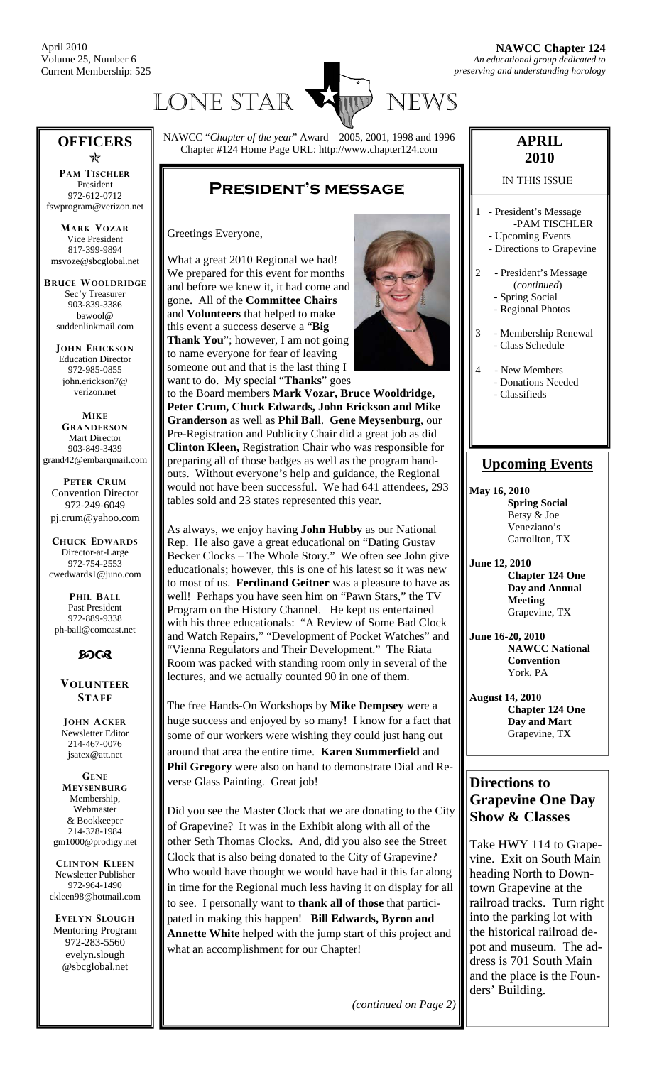April 2010 Volume 25, Number 6 Current Membership: 525



#### **OFFICERS**   $\bigstar$

**PAM TISCHLER** President 972-612-0712 fswprogram@verizon.net

**MARK VOZAR** Vice President 817-399-9894 msvoze@sbcglobal.net

**BRUCE WOOLDRIDGE** Sec'y Treasurer 903-839-3386 bawool@ suddenlinkmail.com

> **JOHN ERICKSON** Education Director 972-985-0855 john.erickson7@ verizon.net

**MIKE GRANDERSON** Mart Director 903-849-3439 grand42@embarqmail.com

**PETER CRUM** Convention Director 972-249-6049 pj.crum@yahoo.com

**CHUCK EDWARDS** Director-at-Large 972-754-2553 cwedwards1@juno.com

**PHIL BALL** Past President 972-889-9338 ph-ball@comcast.net



**VOLUNTEER STAFF**

**JOHN ACKER** Newsletter Editor 214-467-0076 jsatex@att.net

**GENE MEYSENBURG** Membership, Webmaster & Bookkeeper 214-328-1984 gm1000@prodigy.net

**CLINTON KLEEN** Newsletter Publisher 972-964-1490 ckleen98@hotmail.com

**EVELYN SLOUGH** Mentoring Program 972-283-5560 evelyn.slough @sbcglobal.net

NAWCC "*Chapter of the year*" Award—2005, 2001, 1998 and 1996 Chapter #124 Home Page URL: http://www.chapter124.com

## **President's message**

Greetings Everyone,

What a great 2010 Regional we had! We prepared for this event for months and before we knew it, it had come and gone. All of the **Committee Chairs** and **Volunteers** that helped to make this event a success deserve a "**Big Thank You**"; however, I am not going to name everyone for fear of leaving someone out and that is the last thing I want to do. My special "**Thanks**" goes



to the Board members **Mark Vozar, Bruce Wooldridge, Peter Crum, Chuck Edwards, John Erickson and Mike Granderson** as well as **Phil Ball**. **Gene Meysenburg**, our Pre-Registration and Publicity Chair did a great job as did **Clinton Kleen,** Registration Chair who was responsible for preparing all of those badges as well as the program handouts. Without everyone's help and guidance, the Regional would not have been successful. We had 641 attendees, 293 tables sold and 23 states represented this year.

As always, we enjoy having **John Hubby** as our National Rep. He also gave a great educational on "Dating Gustav Becker Clocks – The Whole Story." We often see John give educationals; however, this is one of his latest so it was new to most of us. **Ferdinand Geitner** was a pleasure to have as well! Perhaps you have seen him on "Pawn Stars," the TV Program on the History Channel. He kept us entertained with his three educationals: "A Review of Some Bad Clock and Watch Repairs," "Development of Pocket Watches" and "Vienna Regulators and Their Development." The Riata Room was packed with standing room only in several of the lectures, and we actually counted 90 in one of them.

The free Hands-On Workshops by **Mike Dempsey** were a huge success and enjoyed by so many! I know for a fact that some of our workers were wishing they could just hang out around that area the entire time. **Karen Summerfield** and **Phil Gregory** were also on hand to demonstrate Dial and Reverse Glass Painting. Great job!

Did you see the Master Clock that we are donating to the City of Grapevine? It was in the Exhibit along with all of the other Seth Thomas Clocks. And, did you also see the Street Clock that is also being donated to the City of Grapevine? Who would have thought we would have had it this far along in time for the Regional much less having it on display for all to see. I personally want to **thank all of those** that participated in making this happen! **Bill Edwards, Byron and Annette White** helped with the jump start of this project and what an accomplishment for our Chapter!

*(continued on Page 2)* 

#### **APRIL 2010**

#### IN THIS ISSUE

- 1 President's Message -PAM TISCHLER
	- Upcoming Events
	- Directions to Grapevine
- 2 President's Message (*continued*)
	- Spring Social
	- Regional Photos
- 3 Membership Renewal - Class Schedule
- 4 New Members - Donations Needed - Classifieds

#### **Upcoming Events**

**May 16, 2010 Spring Social**  Betsy & Joe Veneziano's Carrollton, TX

**June 12, 2010 Chapter 124 One Day and Annual Meeting**  Grapevine, TX

**June 16-20, 2010 NAWCC National Convention**  York, PA

**August 14, 2010 Chapter 124 One Day and Mart** Grapevine, TX

## **Directions to Grapevine One Day Show & Classes**

Take HWY 114 to Grapevine. Exit on South Main heading North to Downtown Grapevine at the railroad tracks. Turn right into the parking lot with the historical railroad depot and museum. The address is 701 South Main and the place is the Founders' Building.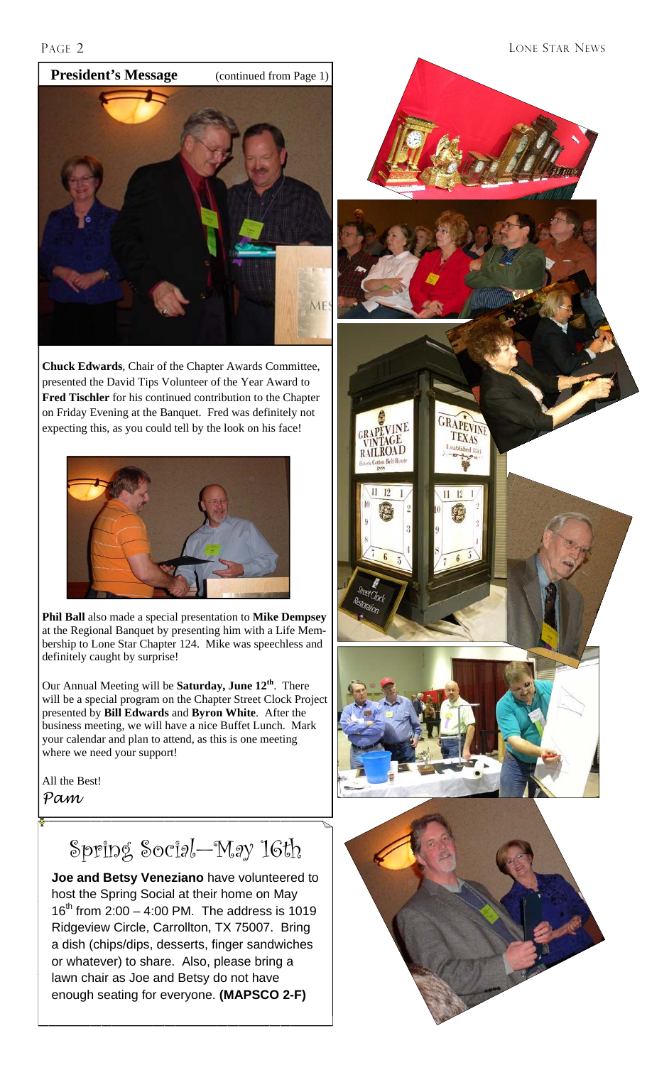

**Chuck Edwards**, Chair of the Chapter Awards Committee, presented the David Tips Volunteer of the Year Award to **Fred Tischler** for his continued contribution to the Chapter on Friday Evening at the Banquet. Fred was definitely not expecting this, as you could tell by the look on his face!



**Phil Ball** also made a special presentation to **Mike Dempsey** at the Regional Banquet by presenting him with a Life Membership to Lone Star Chapter 124. Mike was speechless and definitely caught by surprise!

Our Annual Meeting will be **Saturday, June 12th**. There will be a special program on the Chapter Street Clock Project presented by **Bill Edwards** and **Byron White**. After the business meeting, we will have a nice Buffet Lunch. Mark your calendar and plan to attend, as this is one meeting where we need your support!

All the Best! *Pam*

# Spring Social—May 16th

**Joe and Betsy Veneziano** have volunteered to host the Spring Social at their home on May  $16^{th}$  from 2:00 – 4:00 PM. The address is 1019 Ridgeview Circle, Carrollton, TX 75007. Bring a dish (chips/dips, desserts, finger sandwiches or whatever) to share. Also, please bring a lawn chair as Joe and Betsy do not have enough seating for everyone. **(MAPSCO 2-F)** 

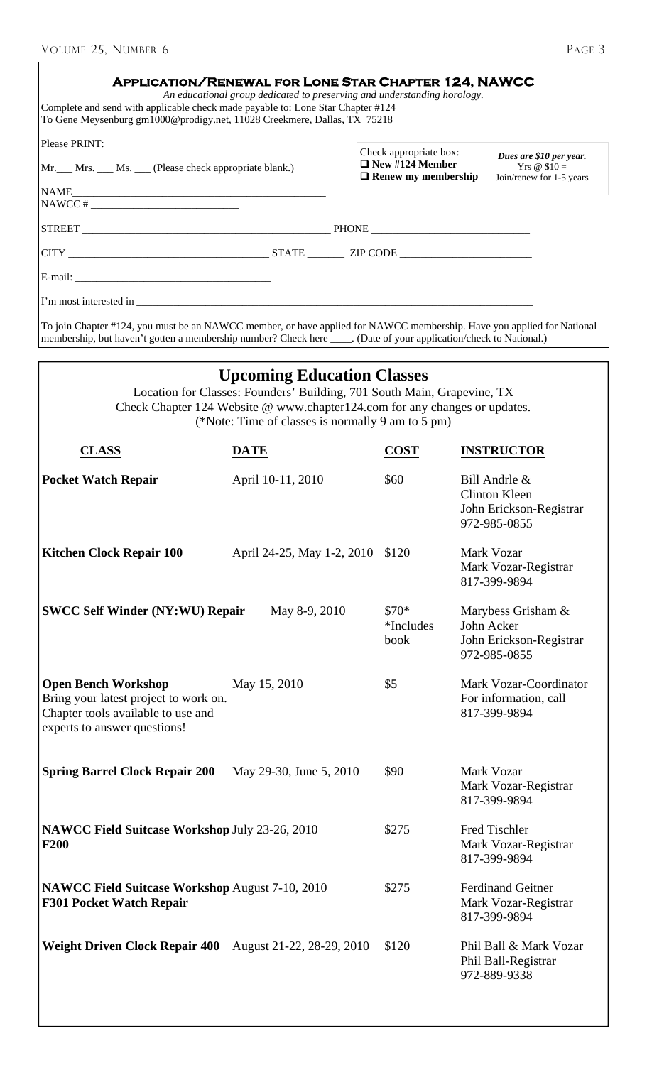| <b>APPLICATION/RENEWAL FOR LONE STAR CHAPTER 124, NAWCC</b><br>Complete and send with applicable check made payable to: Lone Star Chapter #124<br>To Gene Meysenburg gm1000@prodigy.net, 11028 Creekmere, Dallas, TX 75218 |  | An educational group dedicated to preserving and understanding horology.       |                                                                            |
|----------------------------------------------------------------------------------------------------------------------------------------------------------------------------------------------------------------------------|--|--------------------------------------------------------------------------------|----------------------------------------------------------------------------|
| Please PRINT:<br>Mr. Mrs. Ms. Clease check appropriate blank.)                                                                                                                                                             |  | Check appropriate box:<br>$\Box$ New #124 Member<br>$\Box$ Renew my membership | Dues are \$10 per year.<br>$Yrs \; @ \; $10 =$<br>Join/renew for 1-5 years |
| NAME                                                                                                                                                                                                                       |  |                                                                                |                                                                            |
|                                                                                                                                                                                                                            |  |                                                                                |                                                                            |
| STREET PHONE PHONE PHONE                                                                                                                                                                                                   |  |                                                                                |                                                                            |
|                                                                                                                                                                                                                            |  |                                                                                |                                                                            |
|                                                                                                                                                                                                                            |  |                                                                                |                                                                            |
| I'm most interested in                                                                                                                                                                                                     |  |                                                                                |                                                                            |
| מונו ואינו המזדרות ובין המזדרות והודי והיום והמוני והיום והודי והיום והיום והיום והיום והיום והיום והיום והיום                                                                                                             |  |                                                                                |                                                                            |

To join Chapter #124, you must be an NAWCC member, or have applied for NAWCC membership. Have you applied for National membership, but haven't gotten a membership number? Check here \_\_\_\_. (Date of your application/check to National.)

| <b>Upcoming Education Classes</b><br>Location for Classes: Founders' Building, 701 South Main, Grapevine, TX<br>Check Chapter 124 Website @ www.chapter124.com for any changes or updates.<br>(*Note: Time of classes is normally 9 am to 5 pm) |                            |                             |                                                                                  |  |
|-------------------------------------------------------------------------------------------------------------------------------------------------------------------------------------------------------------------------------------------------|----------------------------|-----------------------------|----------------------------------------------------------------------------------|--|
| <b>CLASS</b>                                                                                                                                                                                                                                    | <b>DATE</b>                | <b>COST</b>                 | <b>INSTRUCTOR</b>                                                                |  |
| <b>Pocket Watch Repair</b>                                                                                                                                                                                                                      | April 10-11, 2010          | \$60                        | Bill Andrle &<br><b>Clinton Kleen</b><br>John Erickson-Registrar<br>972-985-0855 |  |
| <b>Kitchen Clock Repair 100</b>                                                                                                                                                                                                                 | April 24-25, May 1-2, 2010 | \$120                       | Mark Vozar<br>Mark Vozar-Registrar<br>817-399-9894                               |  |
| <b>SWCC Self Winder (NY:WU) Repair</b>                                                                                                                                                                                                          | May 8-9, 2010              | $$70*$<br>*Includes<br>book | Marybess Grisham &<br>John Acker<br>John Erickson-Registrar<br>972-985-0855      |  |
| <b>Open Bench Workshop</b><br>Bring your latest project to work on.<br>Chapter tools available to use and<br>experts to answer questions!                                                                                                       | May 15, 2010               | \$5                         | Mark Vozar-Coordinator<br>For information, call<br>817-399-9894                  |  |
| <b>Spring Barrel Clock Repair 200</b>                                                                                                                                                                                                           | May 29-30, June 5, 2010    | \$90                        | Mark Vozar<br>Mark Vozar-Registrar<br>817-399-9894                               |  |
| <b>NAWCC Field Suitcase Workshop July 23-26, 2010</b><br><b>F200</b>                                                                                                                                                                            |                            | \$275                       | Fred Tischler<br>Mark Vozar-Registrar<br>817-399-9894                            |  |
| <b>NAWCC Field Suitcase Workshop August 7-10, 2010</b><br><b>F301 Pocket Watch Repair</b>                                                                                                                                                       |                            | \$275                       | <b>Ferdinand Geitner</b><br>Mark Vozar-Registrar<br>817-399-9894                 |  |
| <b>Weight Driven Clock Repair 400</b>                                                                                                                                                                                                           | August 21-22, 28-29, 2010  | \$120                       | Phil Ball & Mark Vozar<br>Phil Ball-Registrar<br>972-889-9338                    |  |